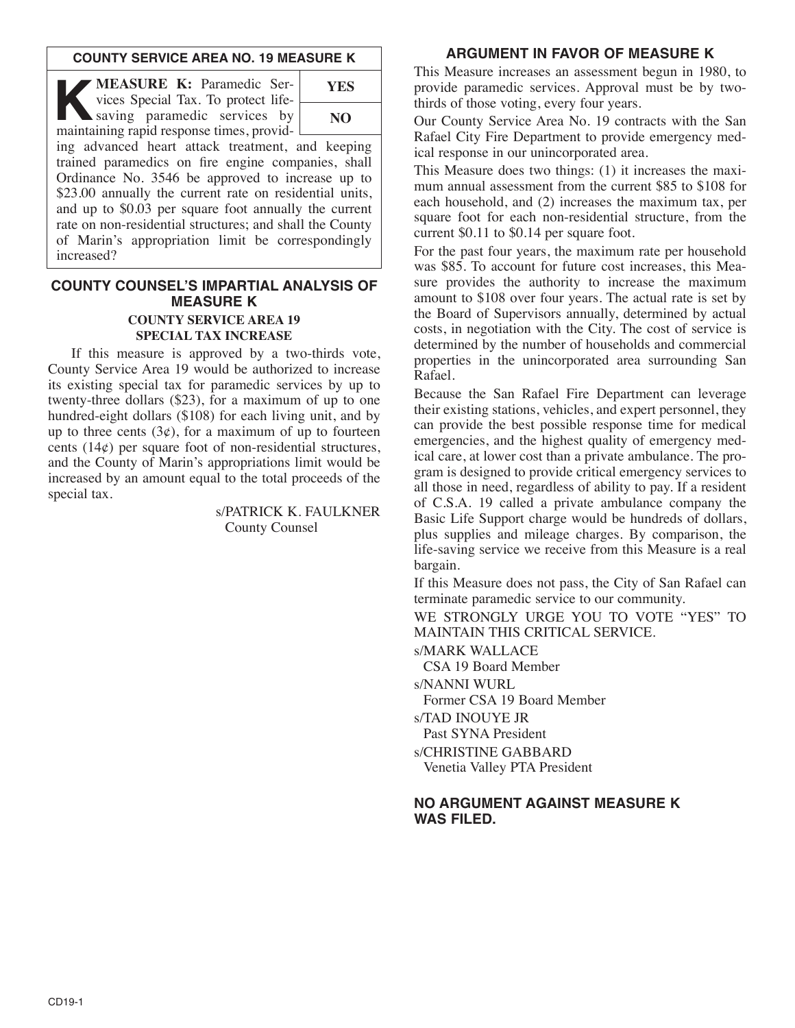#### **COUNTY SERVICE AREA NO. 19 MEASURE K**

**KEASURE K:** Paramedic Services Special Tax. To protect life-<br>saving paramedic services by<br>maintaining rapid response times provid vices Special Tax. To protect lifesaving paramedic services by maintaining rapid response times, providing advanced heart attack treatment, and keeping trained paramedics on fire engine companies, shall Ordinance No. 3546 be approved to increase up to \$23.00 annually the current rate on residential units, and up to \$0.03 per square foot annually the current rate on non-residential structures; and shall the County of Marin's appropriation limit be correspondingly increased? **YES NO**

### **COUNTY COUNSEL'S IMPARTIAL ANALYSIS OF MEASURE K COUNTY SERVICE AREA 19 SPECIAL TAX INCREASE**

If this measure is approved by a two-thirds vote, County Service Area 19 would be authorized to increase its existing special tax for paramedic services by up to twenty-three dollars (\$23), for a maximum of up to one hundred-eight dollars (\$108) for each living unit, and by up to three cents  $(3\varphi)$ , for a maximum of up to fourteen cents  $(14¢)$  per square foot of non-residential structures, and the County of Marin's appropriations limit would be increased by an amount equal to the total proceeds of the special tax.

> s/PATRICK K. FAULKNER County Counsel

# **ARGUMENT IN FAVOR OF MEASURE K**

This Measure increases an assessment begun in 1980, to provide paramedic services. Approval must be by twothirds of those voting, every four years.

Our County Service Area No. 19 contracts with the San Rafael City Fire Department to provide emergency medical response in our unincorporated area.

This Measure does two things: (1) it increases the maximum annual assessment from the current \$85 to \$108 for each household, and (2) increases the maximum tax, per square foot for each non-residential structure, from the current \$0.11 to \$0.14 per square foot.

For the past four years, the maximum rate per household was \$85. To account for future cost increases, this Measure provides the authority to increase the maximum amount to \$108 over four years. The actual rate is set by the Board of Supervisors annually, determined by actual costs, in negotiation with the City. The cost of service is determined by the number of households and commercial properties in the unincorporated area surrounding San Rafael.

Because the San Rafael Fire Department can leverage their existing stations, vehicles, and expert personnel, they can provide the best possible response time for medical emergencies, and the highest quality of emergency medical care, at lower cost than a private ambulance. The program is designed to provide critical emergency services to all those in need, regardless of ability to pay. If a resident of C.S.A. 19 called a private ambulance company the Basic Life Support charge would be hundreds of dollars, plus supplies and mileage charges. By comparison, the life-saving service we receive from this Measure is a real bargain.

If this Measure does not pass, the City of San Rafael can terminate paramedic service to our community.

WE STRONGLY URGE YOU TO VOTE "YES" TO MAINTAIN THIS CRITICAL SERVICE.

s/MARK WALLACE

CSA 19 Board Member

s/NANNI WURL

Former CSA 19 Board Member

s/TAD INOUYE JR Past SYNA President

s/CHRISTINE GABBARD Venetia Valley PTA President

### **NO ARGUMENT AGAINST MEASURE K WAS FILED.**